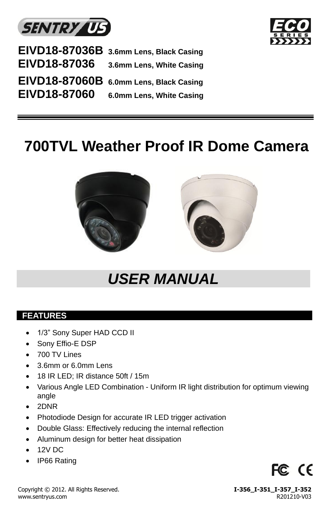



|                     | EIVD18-87036B 3.6mm Lens, Black Casing |
|---------------------|----------------------------------------|
| <b>EIVD18-87036</b> | 3.6mm Lens, White Casing               |
|                     | EIVD18-87060B 6.0mm Lens, Black Casing |
| EIVD18-87060        | 6.0mm Lens, White Casing               |

# **700TVL Weather Proof IR Dome Camera**



# *USER MANUAL*

## **FEATURES**

- 1/3" Sony Super HAD CCD II
- Sony Effio-E DSP
- 700 TV Lines
- 3.6mm or 6.0mm Lens
- 18 IR LED; IR distance 50ft / 15m
- Various Angle LED Combination Uniform IR light distribution for optimum viewing angle
- 2DNR
- Photodiode Design for accurate IR LED trigger activation
- Double Glass: Effectively reducing the internal reflection
- Aluminum design for better heat dissipation
- 12V DC
- IP66 Rating



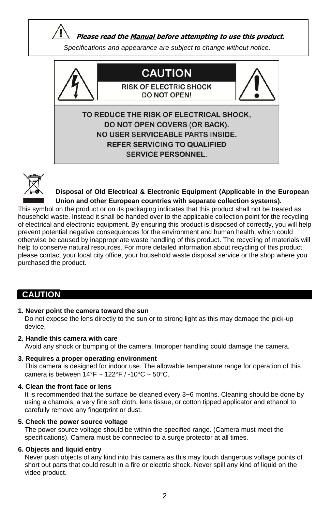**Please read the Manual before attempting to use this product.**

*Specifications and appearance are subject to change without notice.*





**Disposal of Old Electrical & Electronic Equipment (Applicable in the European Union and other European countries with separate collection systems).**

This symbol on the product or on its packaging indicates that this product shall not be treated as household waste. Instead it shall be handed over to the applicable collection point for the recycling of electrical and electronic equipment. By ensuring this product is disposed of correctly, you will help prevent potential negative consequences for the environment and human health, which could otherwise be caused by inappropriate waste handling of this product. The recycling of materials will help to conserve natural resources. For more detailed information about recycling of this product, please contact your local city office, your household waste disposal service or the shop where you purchased the product.

## **CAUTION**

**1. Never point the camera toward the sun**

 Do not expose the lens directly to the sun or to strong light as this may damage the pick-up device.

**2. Handle this camera with care**

Avoid any shock or bumping of the camera. Improper handling could damage the camera.

**3. Requires a proper operating environment**

 This camera is designed for indoor use. The allowable temperature range for operation of this camera is between  $14^{\circ}F \sim 122^{\circ}F / -10^{\circ}C \sim 50^{\circ}C$ .

#### **4. Clean the front face or lens**

 It is recommended that the surface be cleaned every 3~6 months. Cleaning should be done by using a chamois, a very fine soft cloth, lens tissue, or cotton tipped applicator and ethanol to carefully remove any fingerprint or dust.

#### **5. Check the power source voltage**

 The power source voltage should be within the specified range. (Camera must meet the specifications). Camera must be connected to a surge protector at all times.

### **6. Objects and liquid entry**

 Never push objects of any kind into this camera as this may touch dangerous voltage points of short out parts that could result in a fire or electric shock. Never spill any kind of liquid on the video product.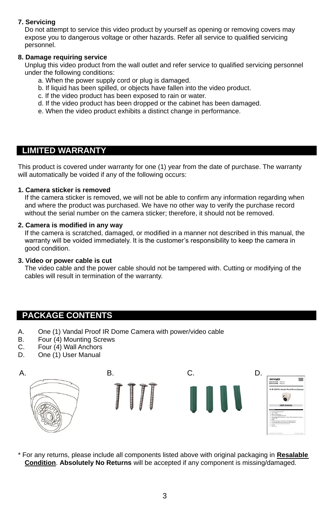## **7. Servicing**

 Do not attempt to service this video product by yourself as opening or removing covers may expose you to dangerous voltage or other hazards. Refer all service to qualified servicing personnel.

### **8. Damage requiring service**

 Unplug this video product from the wall outlet and refer service to qualified servicing personnel under the following conditions:

- a. When the power supply cord or plug is damaged.
- b. If liquid has been spilled, or objects have fallen into the video product.
- c. If the video product has been exposed to rain or water.
- d. If the video product has been dropped or the cabinet has been damaged.
- e. When the video product exhibits a distinct change in performance.

## **LIMITED WARRANTY**

This product is covered under warranty for one (1) year from the date of purchase. The warranty will automatically be voided if any of the following occurs:

#### **1. Camera sticker is removed**

 If the camera sticker is removed, we will not be able to confirm any information regarding when and where the product was purchased. We have no other way to verify the purchase record without the serial number on the camera sticker; therefore, it should not be removed.

#### **2. Camera is modified in any way**

 If the camera is scratched, damaged, or modified in a manner not described in this manual, the warranty will be voided immediately. It is the customer's responsibility to keep the camera in good condition.

### **3. Video or power cable is cut**

The video cable and the power cable should not be tampered with. Cutting or modifying of the cables will result in termination of the warranty.

## **PACKAGE CONTENTS**

- A. One (1) Vandal Proof IR Dome Camera with power/video cable
- B. Four (4) Mounting Screws
- C. Four (4) Wall Anchors<br>D. One (1) User Manual
- One (1) User Manual



\* For any returns, please include all components listed above with original packaging in **Resalable Condition**. **Absolutely No Returns** will be accepted if any component is missing/damaged.